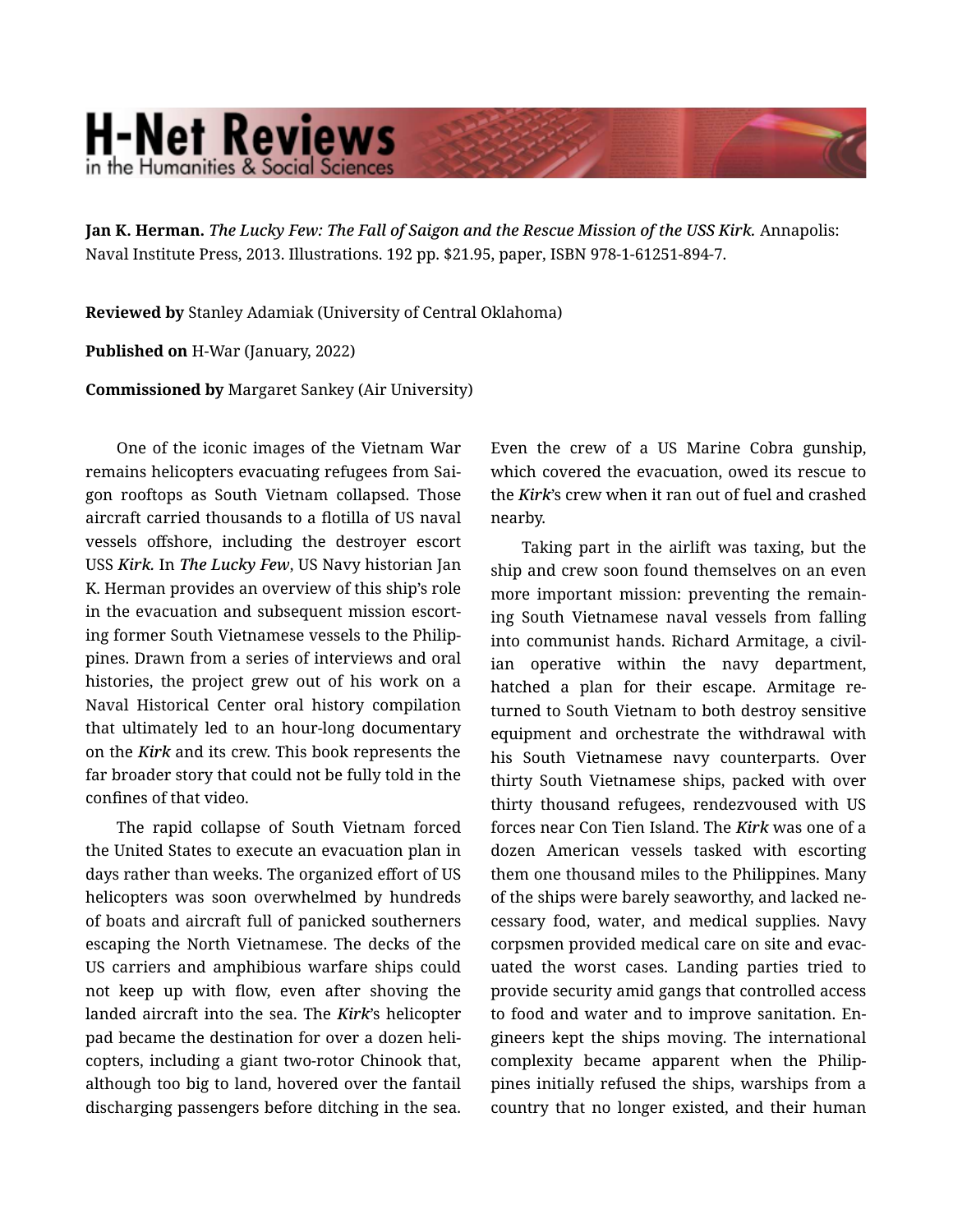## **H-Net Reviews** in the Humanities & Social Scienc

Jan K. Herman. *The Lucky Few: The Fall of Saigon and the Rescue Mission of the USS Kirk.* Annapolis: Naval Institute Press, 2013. Illustrations. 192 pp. \$21.95, paper, ISBN 978-1-61251-894-7.

Reviewed by Stanley Adamiak (University of Central Oklahoma)

Published on H-War (January, 2022)

Commissioned by Margaret Sankey (Air University)

One of the iconic images of the Vietnam War remains helicopters evacuating refugees from Sai‐ gon rooftops as South Vietnam collapsed. Those aircraft carried thousands to a flotilla of US naval vessels offshore, including the destroyer escort USS *Kirk.* In *The Lucky Few*, US Navy historian Jan K. Herman provides an overview of this ship's role in the evacuation and subsequent mission escort‐ ing former South Vietnamese vessels to the Philip‐ pines. Drawn from a series of interviews and oral histories, the project grew out of his work on a Naval Historical Center oral history compilation that ultimately led to an hour-long documentary on the *Kirk* and its crew. This book represents the far broader story that could not be fully told in the confines of that video.

The rapid collapse of South Vietnam forced the United States to execute an evacuation plan in days rather than weeks. The organized effort of US helicopters was soon overwhelmed by hundreds of boats and aircraft full of panicked southerners escaping the North Vietnamese. The decks of the US carriers and amphibious warfare ships could not keep up with flow, even after shoving the landed aircraft into the sea. The *Kirk*'s helicopter pad became the destination for over a dozen heli‐ copters, including a giant two-rotor Chinook that, although too big to land, hovered over the fantail discharging passengers before ditching in the sea.

Even the crew of a US Marine Cobra gunship, which covered the evacuation, owed its rescue to the *Kirk*'s crew when it ran out of fuel and crashed nearby.

Taking part in the airlift was taxing, but the ship and crew soon found themselves on an even more important mission: preventing the remain‐ ing South Vietnamese naval vessels from falling into communist hands. Richard Armitage, a civil‐ ian operative within the navy department, hatched a plan for their escape. Armitage returned to South Vietnam to both destroy sensitive equipment and orchestrate the withdrawal with his South Vietnamese navy counterparts. Over thirty South Vietnamese ships, packed with over thirty thousand refugees, rendezvoused with US forces near Con Tien Island. The *Kirk* was one of a dozen American vessels tasked with escorting them one thousand miles to the Philippines. Many of the ships were barely seaworthy, and lacked ne‐ cessary food, water, and medical supplies. Navy corpsmen provided medical care on site and evac‐ uated the worst cases. Landing parties tried to provide security amid gangs that controlled access to food and water and to improve sanitation. En‐ gineers kept the ships moving. The international complexity became apparent when the Philippines initially refused the ships, warships from a country that no longer existed, and their human